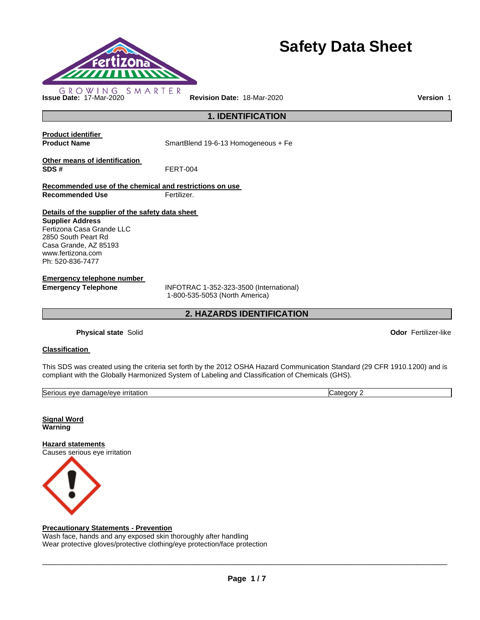

# **Safety Data Sheet**

**1. IDENTIFICATION** 

**Product identifier** 

**Product Name SmartBlend 19-6-13 Homogeneous + Fe** 

**Other means of identification SDS #** FERT-004

**Recommended use of the chemical and restrictions on use Recommended Use Fertilizer.** 

**Details of the supplier of the safety data sheet** 

**Supplier Address** Fertizona Casa Grande LLC 2850 South Peart Rd Casa Grande, AZ 85193 www.fertizona.com Ph: 520-836-7477

**Emergency telephone number** 

**Emergency Telephone** INFOTRAC 1-352-323-3500 (International) 1-800-535-5053 (North America)

**2. HAZARDS IDENTIFICATION** 

**Physical state** Solid **Odor** Fertilizer-like

# **Classification**

This SDS was created using the criteria set forth by the 2012 OSHA Hazard Communication Standard (29 CFR 1910.1200) and is compliant with the Globally Harmonized System of Labeling and Classification of Chemicals (GHS).

| $\sim$<br>. .<br>.<br>ISeri<br>_irritation<br>3777<br>nage/eve<br>۱۱۵<br><br>. gam<br>.<br>. . |  |
|------------------------------------------------------------------------------------------------|--|

**Signal Word Warning** 

**Hazard statements** Causes serious eye irritation



# **Precautionary Statements - Prevention**

Wash face, hands and any exposed skin thoroughly after handling Wear protective gloves/protective clothing/eye protection/face protection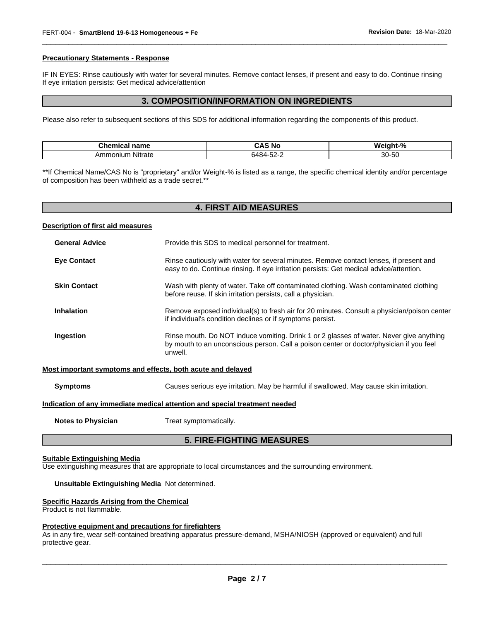#### **Precautionary Statements - Response**

IF IN EYES: Rinse cautiously with water for several minutes. Remove contact lenses, if present and easy to do. Continue rinsing If eye irritation persists: Get medical advice/attention

\_\_\_\_\_\_\_\_\_\_\_\_\_\_\_\_\_\_\_\_\_\_\_\_\_\_\_\_\_\_\_\_\_\_\_\_\_\_\_\_\_\_\_\_\_\_\_\_\_\_\_\_\_\_\_\_\_\_\_\_\_\_\_\_\_\_\_\_\_\_\_\_\_\_\_\_\_\_\_\_\_\_\_\_\_\_\_\_\_\_\_\_\_

# **3. COMPOSITION/INFORMATION ON INGREDIENTS**

Please also refer to subsequent sections of this SDS for additional information regarding the components of this product.

| Chemical<br>name    | ⊺ NC                  | -04<br>w<br>7ο      |
|---------------------|-----------------------|---------------------|
| Nitrate<br>Ammonium | -- -<br>$\sim$<br>. . | $\sim$<br>30<br>-ວເ |

\*\*If Chemical Name/CAS No is "proprietary" and/or Weight-% is listed as a range, the specific chemical identity and/or percentage of composition has been withheld as a trade secret.\*\*

|                                                                            | <b>4. FIRST AID MEASURES</b>                                                                                                                                                                  |
|----------------------------------------------------------------------------|-----------------------------------------------------------------------------------------------------------------------------------------------------------------------------------------------|
| Description of first aid measures                                          |                                                                                                                                                                                               |
| <b>General Advice</b>                                                      | Provide this SDS to medical personnel for treatment.                                                                                                                                          |
| <b>Eye Contact</b>                                                         | Rinse cautiously with water for several minutes. Remove contact lenses, if present and<br>easy to do. Continue rinsing. If eye irritation persists: Get medical advice/attention.             |
| <b>Skin Contact</b>                                                        | Wash with plenty of water. Take off contaminated clothing. Wash contaminated clothing<br>before reuse. If skin irritation persists, call a physician.                                         |
| <b>Inhalation</b>                                                          | Remove exposed individual(s) to fresh air for 20 minutes. Consult a physician/poison center<br>if individual's condition declines or if symptoms persist.                                     |
| Ingestion                                                                  | Rinse mouth. Do NOT induce vomiting. Drink 1 or 2 glasses of water. Never give anything<br>by mouth to an unconscious person. Call a poison center or doctor/physician if you feel<br>unwell. |
|                                                                            | Most important symptoms and effects, both acute and delayed                                                                                                                                   |
| <b>Symptoms</b>                                                            | Causes serious eye irritation. May be harmful if swallowed. May cause skin irritation.                                                                                                        |
| Indication of any immediate medical attention and special treatment needed |                                                                                                                                                                                               |
| <b>Notes to Physician</b>                                                  | Treat symptomatically.                                                                                                                                                                        |

# **5. FIRE-FIGHTING MEASURES**

#### **Suitable Extinguishing Media**

Use extinguishing measures that are appropriate to local circumstances and the surrounding environment.

#### **Unsuitable Extinguishing Media** Not determined.

#### **Specific Hazards Arising from the Chemical**

Product is not flammable.

#### **Protective equipment and precautions for firefighters**

As in any fire, wear self-contained breathing apparatus pressure-demand, MSHA/NIOSH (approved or equivalent) and full protective gear.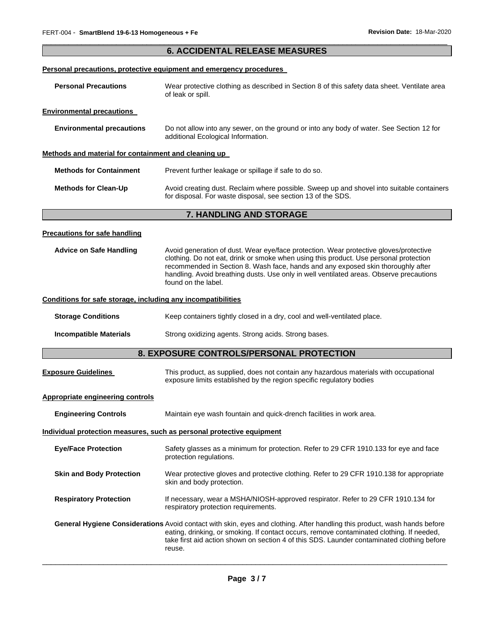# \_\_\_\_\_\_\_\_\_\_\_\_\_\_\_\_\_\_\_\_\_\_\_\_\_\_\_\_\_\_\_\_\_\_\_\_\_\_\_\_\_\_\_\_\_\_\_\_\_\_\_\_\_\_\_\_\_\_\_\_\_\_\_\_\_\_\_\_\_\_\_\_\_\_\_\_\_\_\_\_\_\_\_\_\_\_\_\_\_\_\_\_\_ **6. ACCIDENTAL RELEASE MEASURES**

# **Personal precautions, protective equipment and emergency procedures**

| <b>Personal Precautions</b>                          | Wear protective clothing as described in Section 8 of this safety data sheet. Ventilate area<br>of leak or spill.                                                                                    |
|------------------------------------------------------|------------------------------------------------------------------------------------------------------------------------------------------------------------------------------------------------------|
| <b>Environmental precautions</b>                     |                                                                                                                                                                                                      |
| <b>Environmental precautions</b>                     | Do not allow into any sewer, on the ground or into any body of water. See Section 12 for<br>additional Ecological Information.                                                                       |
| Methods and material for containment and cleaning up |                                                                                                                                                                                                      |
| <b>Methods for Containment</b>                       | Prevent further leakage or spillage if safe to do so.                                                                                                                                                |
| <b>Methods for Clean-Up</b>                          | Avoid creating dust. Reclaim where possible. Sweep up and shovel into suitable containers<br>for disposal. For waste disposal, see section 13 of the SDS.                                            |
|                                                      | 7. HANDLING AND STORAGE                                                                                                                                                                              |
| <b>Precautions for safe handling</b>                 |                                                                                                                                                                                                      |
| <b>Advice on Safe Handling</b>                       | Avoid generation of dust. Wear eye/face protection. Wear protective gloves/protective<br>aladh ba an Financia ann aighdean an an ailte an h-ainm aighdean an dean 1944. I ann an an aighdean aighean |

clothing. Do not eat, drink or smoke when using this product. Use personal protection recommended in Section 8. Wash face, hands and any exposed skin thoroughly after handling. Avoid breathing dusts. Use only in well ventilated areas. Observe precautions found on the label.

# **Conditions for safe storage, including any incompatibilities**

**Storage Conditions Keep containers tightly closed in a dry, cool and well-ventilated place.** 

**Incompatible Materials** Strong oxidizing agents. Strong acids. Strong bases.

# **8. EXPOSURE CONTROLS/PERSONAL PROTECTION**

| <b>Exposure Guidelines</b> | This product, as supplied, does not contain any hazardous materials with occupational |
|----------------------------|---------------------------------------------------------------------------------------|
|                            | exposure limits established by the region specific regulatory bodies                  |

# **Appropriate engineering controls**

| <b>Engineering Controls</b>     | Maintain eye wash fountain and quick-drench facilities in work area.                                                                                                                                                                                                                                                                  |
|---------------------------------|---------------------------------------------------------------------------------------------------------------------------------------------------------------------------------------------------------------------------------------------------------------------------------------------------------------------------------------|
|                                 | Individual protection measures, such as personal protective equipment                                                                                                                                                                                                                                                                 |
| <b>Eve/Face Protection</b>      | Safety glasses as a minimum for protection. Refer to 29 CFR 1910.133 for eye and face<br>protection regulations.                                                                                                                                                                                                                      |
| <b>Skin and Body Protection</b> | Wear protective gloves and protective clothing. Refer to 29 CFR 1910.138 for appropriate<br>skin and body protection.                                                                                                                                                                                                                 |
| <b>Respiratory Protection</b>   | If necessary, wear a MSHA/NIOSH-approved respirator. Refer to 29 CFR 1910.134 for<br>respiratory protection requirements.                                                                                                                                                                                                             |
|                                 | <b>General Hygiene Considerations</b> Avoid contact with skin, eyes and clothing. After handling this product, wash hands before<br>eating, drinking, or smoking. If contact occurs, remove contaminated clothing. If needed,<br>take first aid action shown on section 4 of this SDS. Launder contaminated clothing before<br>reuse. |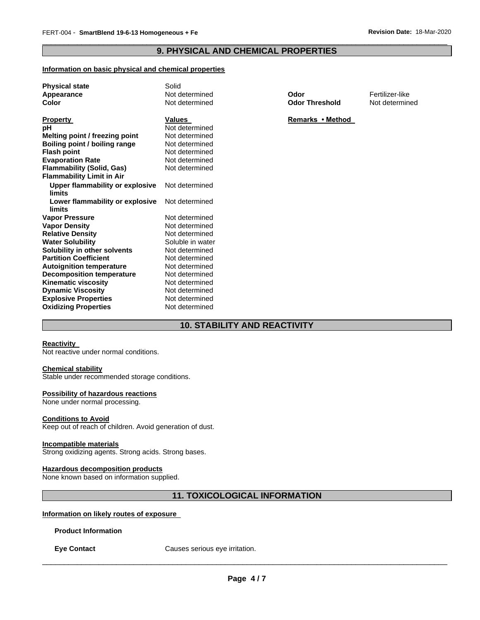# \_\_\_\_\_\_\_\_\_\_\_\_\_\_\_\_\_\_\_\_\_\_\_\_\_\_\_\_\_\_\_\_\_\_\_\_\_\_\_\_\_\_\_\_\_\_\_\_\_\_\_\_\_\_\_\_\_\_\_\_\_\_\_\_\_\_\_\_\_\_\_\_\_\_\_\_\_\_\_\_\_\_\_\_\_\_\_\_\_\_\_\_\_ **9. PHYSICAL AND CHEMICAL PROPERTIES**

# **Information on basic physical and chemical properties**

| <b>Physical state</b>                     | Solid            |                       |                 |
|-------------------------------------------|------------------|-----------------------|-----------------|
| Appearance                                | Not determined   | Odor                  | Fertilizer-like |
| Color                                     | Not determined   | <b>Odor Threshold</b> | Not determined  |
| <b>Property</b>                           | <b>Values</b>    | Remarks • Method      |                 |
| pH                                        | Not determined   |                       |                 |
| Melting point / freezing point            | Not determined   |                       |                 |
| Boiling point / boiling range             | Not determined   |                       |                 |
| <b>Flash point</b>                        | Not determined   |                       |                 |
| <b>Evaporation Rate</b>                   | Not determined   |                       |                 |
| <b>Flammability (Solid, Gas)</b>          | Not determined   |                       |                 |
| <b>Flammability Limit in Air</b>          |                  |                       |                 |
| Upper flammability or explosive           | Not determined   |                       |                 |
| limits                                    |                  |                       |                 |
| Lower flammability or explosive<br>limits | Not determined   |                       |                 |
| <b>Vapor Pressure</b>                     | Not determined   |                       |                 |
| <b>Vapor Density</b>                      | Not determined   |                       |                 |
| <b>Relative Density</b>                   | Not determined   |                       |                 |
| <b>Water Solubility</b>                   | Soluble in water |                       |                 |
| Solubility in other solvents              | Not determined   |                       |                 |
| <b>Partition Coefficient</b>              | Not determined   |                       |                 |
| <b>Autoignition temperature</b>           | Not determined   |                       |                 |
| <b>Decomposition temperature</b>          | Not determined   |                       |                 |
| <b>Kinematic viscosity</b>                | Not determined   |                       |                 |
| <b>Dynamic Viscosity</b>                  | Not determined   |                       |                 |
| <b>Explosive Properties</b>               | Not determined   |                       |                 |
| <b>Oxidizing Properties</b>               | Not determined   |                       |                 |

# **10. STABILITY AND REACTIVITY**

# **Reactivity**

Not reactive under normal conditions.

# **Chemical stability**

Stable under recommended storage conditions.

#### **Possibility of hazardous reactions**

None under normal processing.

### **Conditions to Avoid**

Keep out of reach of children. Avoid generation of dust.

# **Incompatible materials**

Strong oxidizing agents. Strong acids. Strong bases.

# **Hazardous decomposition products**

None known based on information supplied.

# **11. TOXICOLOGICAL INFORMATION**

# **Information on likely routes of exposure**

#### **Product Information**

**Eye Contact Causes serious eye irritation.**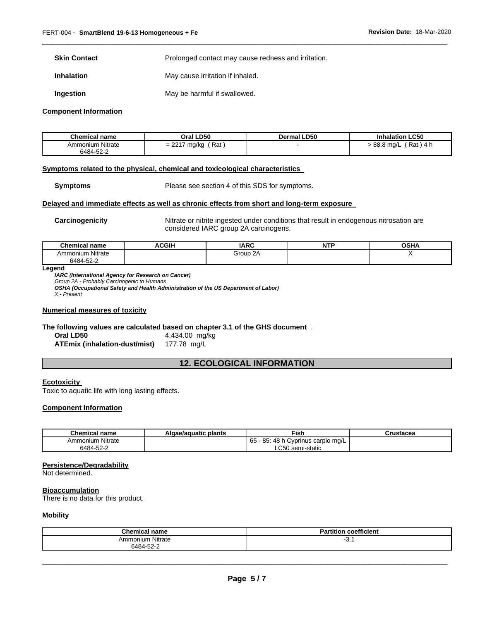**Skin Contact Prolonged contact may cause redness and irritation.** 

\_\_\_\_\_\_\_\_\_\_\_\_\_\_\_\_\_\_\_\_\_\_\_\_\_\_\_\_\_\_\_\_\_\_\_\_\_\_\_\_\_\_\_\_\_\_\_\_\_\_\_\_\_\_\_\_\_\_\_\_\_\_\_\_\_\_\_\_\_\_\_\_\_\_\_\_\_\_\_\_\_\_\_\_\_\_\_\_\_\_\_\_\_

**Inhalation May cause irritation if inhaled.** 

**Ingestion May be harmful if swallowed.** 

#### **Component Information**

| <b>Chemical name</b> | Oral LD50    | Dermal LD50 | <b>Inhalation LC50</b> |
|----------------------|--------------|-------------|------------------------|
| Ammonium Nitrate     | Rat          |             | $'$ Rat ) 4 h          |
| 6484-52-2            | = 2217 mg/kg |             | > 88.8 mg/L            |

#### **Symptoms related to the physical, chemical and toxicological characteristics**

**Symptoms** Please see section 4 of this SDS for symptoms.

# **Delayed and immediate effects as well as chronic effects from short and long-term exposure**

**Carcinogenicity Nitrate or nitrite ingested under conditions that result in endogenous nitrosation are** considered IARC group 2A carcinogens.

| <b>Chemical name</b> | <b>ACGIH</b> | <b>IARC</b>        | <b>NTF</b> | OSHA |
|----------------------|--------------|--------------------|------------|------|
| Ammonium Nitrate     |              | $\sim$<br>Group 2A |            |      |
| 6484-52-2            |              |                    |            |      |

#### **Legend**

*IARC (International Agency for Research on Cancer) Group 2A - Probably Carcinogenic to Humans* 

*OSHA (Occupational Safety and Health Administration of the US Department of Labor) X - Present* 

#### **Numerical measures of toxicity**

**The following values are calculated based on chapter 3.1 of the GHS document** .

**ATEmix (inhalation-dust/mist)** 177.78 mg/L

**Oral LD50** 4,434.00 mg/kg

# **12. ECOLOGICAL INFORMATION**

# **Ecotoxicity**

Toxic to aquatic life with long lasting effects.

#### **Component Information**

| <b>Chemical name</b> | Algae/aguatic plants | Fish                                    | Crustacea |
|----------------------|----------------------|-----------------------------------------|-----------|
| Ammonium Nitrate     |                      | 5 - 85: 48 h Cyprinus carpio mg/L<br>65 |           |
| 6484-52-2            |                      | ∟C50 semi-static                        |           |

#### **Persistence/Degradability**

Not determined.

# **Bioaccumulation**

There is no data for this product.

# **Mobility**

| <b>Chemical name</b> | coefficient<br>'artıtıon |
|----------------------|--------------------------|
| Ammonium Nitrate     | J. I                     |
| $\sim$<br>6484-52-2  |                          |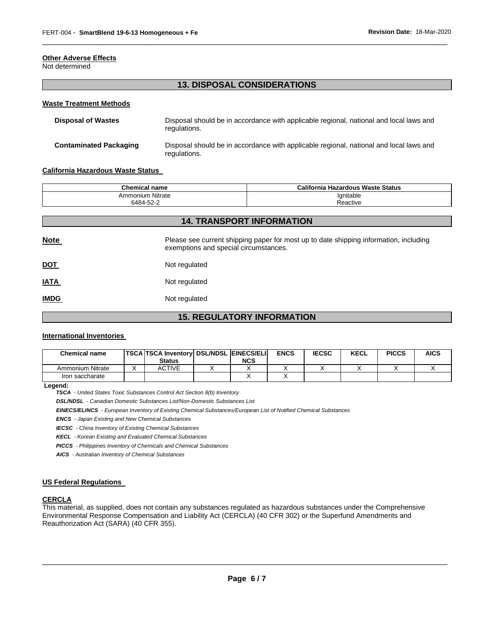# **Other Adverse Effects**

Not determined

# **13. DISPOSAL CONSIDERATIONS**

\_\_\_\_\_\_\_\_\_\_\_\_\_\_\_\_\_\_\_\_\_\_\_\_\_\_\_\_\_\_\_\_\_\_\_\_\_\_\_\_\_\_\_\_\_\_\_\_\_\_\_\_\_\_\_\_\_\_\_\_\_\_\_\_\_\_\_\_\_\_\_\_\_\_\_\_\_\_\_\_\_\_\_\_\_\_\_\_\_\_\_\_\_

#### **Waste Treatment Methods**

| <b>Disposal of Wastes</b>     | Disposal should be in accordance with applicable regional, national and local laws and<br>regulations. |
|-------------------------------|--------------------------------------------------------------------------------------------------------|
| <b>Contaminated Packaging</b> | Disposal should be in accordance with applicable regional, national and local laws and<br>regulations. |

#### **California Hazardous Waste Status**

| <b>Chemical name</b> | California Hazardous Waste Status |  |  |
|----------------------|-----------------------------------|--|--|
| Ammonium Nitrate     | Ignitable                         |  |  |
| 6484-52-2            | Reactive                          |  |  |

| <b>14. TRANSPORT INFORMATION</b> |                                                                                                                                |  |  |  |  |
|----------------------------------|--------------------------------------------------------------------------------------------------------------------------------|--|--|--|--|
| <b>Note</b>                      | Please see current shipping paper for most up to date shipping information, including<br>exemptions and special circumstances. |  |  |  |  |
| <b>DOT</b>                       | Not regulated                                                                                                                  |  |  |  |  |
| <b>IATA</b>                      | Not regulated                                                                                                                  |  |  |  |  |
| <b>IMDG</b>                      | Not regulated                                                                                                                  |  |  |  |  |
|                                  |                                                                                                                                |  |  |  |  |

# **15. REGULATORY INFORMATION**

# **International Inventories**

| <b>Chemical name</b> | TSCA  TSCA Inventory   DSL/NDSL   EINECS/ELI  <br>Status | <b>NCS</b> | <b>ENCS</b> | <b>IECSC</b> | <b>KECL</b> | <b>PICCS</b> | <b>AICS</b> |
|----------------------|----------------------------------------------------------|------------|-------------|--------------|-------------|--------------|-------------|
| Ammonium Nitrate     | ACTIVE                                                   |            |             |              |             |              |             |
| Iron saccharate      |                                                          |            |             |              |             |              |             |

**Legend:** 

*TSCA - United States Toxic Substances Control Act Section 8(b) Inventory* 

*DSL/NDSL - Canadian Domestic Substances List/Non-Domestic Substances List* 

*EINECS/ELINCS - European Inventory of Existing Chemical Substances/European List of Notified Chemical Substances* 

*ENCS - Japan Existing and New Chemical Substances* 

*IECSC - China Inventory of Existing Chemical Substances* 

*KECL - Korean Existing and Evaluated Chemical Substances* 

*PICCS - Philippines Inventory of Chemicals and Chemical Substances* 

*AICS - Australian Inventory of Chemical Substances* 

# **US Federal Regulations**

# **CERCLA**

This material, as supplied, does not contain any substances regulated as hazardous substances under the Comprehensive Environmental Response Compensation and Liability Act (CERCLA) (40 CFR 302) or the Superfund Amendments and Reauthorization Act (SARA) (40 CFR 355).